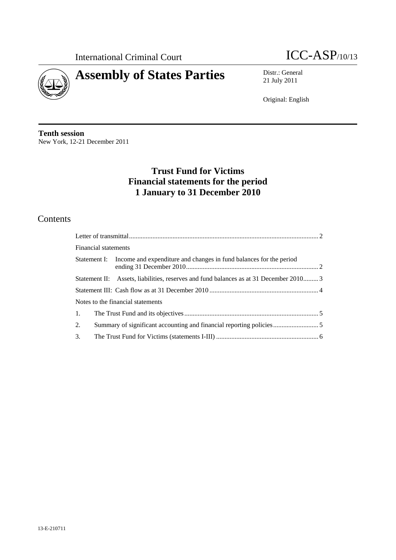



21 July 2011

Original: English

**Tenth session**  New York, 12-21 December 2011

# **Trust Fund for Victims Financial statements for the period 1 January to 31 December 2010**

# **Contents**

|    | Financial statements |                                                                                        |  |  |  |
|----|----------------------|----------------------------------------------------------------------------------------|--|--|--|
|    |                      | Statement I: Income and expenditure and changes in fund balances for the period        |  |  |  |
|    |                      | Statement II: Assets, liabilities, reserves and fund balances as at 31 December 2010 3 |  |  |  |
|    |                      |                                                                                        |  |  |  |
|    |                      | Notes to the financial statements                                                      |  |  |  |
| 1. |                      |                                                                                        |  |  |  |
| 2. |                      |                                                                                        |  |  |  |
| 3. |                      |                                                                                        |  |  |  |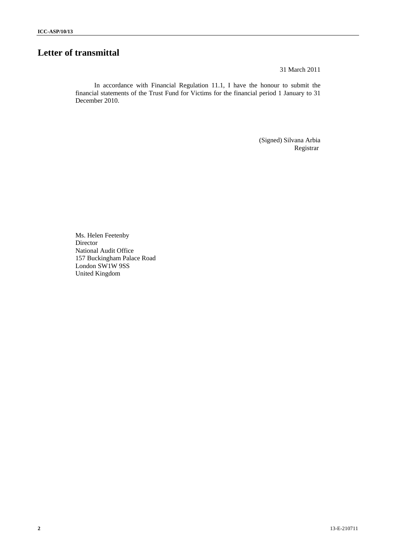# **Letter of transmittal**

31 March 2011

In accordance with Financial Regulation 11.1, I have the honour to submit the financial statements of the Trust Fund for Victims for the financial period 1 January to 31 December 2010.

> (Signed) Silvana Arbia Registrar

Ms. Helen Feetenby Director National Audit Office 157 Buckingham Palace Road London SW1W 9SS United Kingdom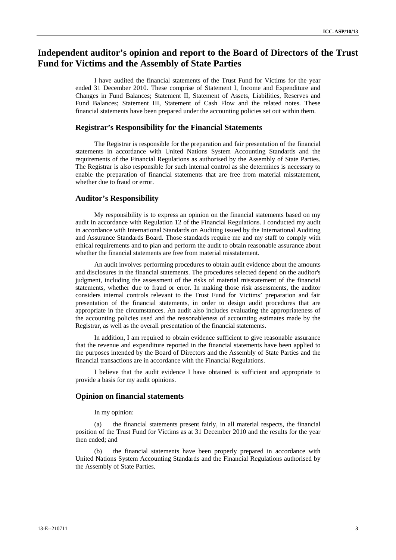# **Independent auditor's opinion and report to the Board of Directors of the Trust Fund for Victims and the Assembly of State Parties**

I have audited the financial statements of the Trust Fund for Victims for the year ended 31 December 2010. These comprise of Statement I, Income and Expenditure and Changes in Fund Balances; Statement II, Statement of Assets, Liabilities, Reserves and Fund Balances; Statement III, Statement of Cash Flow and the related notes. These financial statements have been prepared under the accounting policies set out within them.

### **Registrar's Responsibility for the Financial Statements**

The Registrar is responsible for the preparation and fair presentation of the financial statements in accordance with United Nations System Accounting Standards and the requirements of the Financial Regulations as authorised by the Assembly of State Parties. The Registrar is also responsible for such internal control as she determines is necessary to enable the preparation of financial statements that are free from material misstatement, whether due to fraud or error.

### **Auditor's Responsibility**

My responsibility is to express an opinion on the financial statements based on my audit in accordance with Regulation 12 of the Financial Regulations. I conducted my audit in accordance with International Standards on Auditing issued by the International Auditing and Assurance Standards Board. Those standards require me and my staff to comply with ethical requirements and to plan and perform the audit to obtain reasonable assurance about whether the financial statements are free from material misstatement.

An audit involves performing procedures to obtain audit evidence about the amounts and disclosures in the financial statements. The procedures selected depend on the auditor's judgment, including the assessment of the risks of material misstatement of the financial statements, whether due to fraud or error. In making those risk assessments, the auditor considers internal controls relevant to the Trust Fund for Victims' preparation and fair presentation of the financial statements, in order to design audit procedures that are appropriate in the circumstances. An audit also includes evaluating the appropriateness of the accounting policies used and the reasonableness of accounting estimates made by the Registrar, as well as the overall presentation of the financial statements.

In addition, I am required to obtain evidence sufficient to give reasonable assurance that the revenue and expenditure reported in the financial statements have been applied to the purposes intended by the Board of Directors and the Assembly of State Parties and the financial transactions are in accordance with the Financial Regulations.

I believe that the audit evidence I have obtained is sufficient and appropriate to provide a basis for my audit opinions.

#### **Opinion on financial statements**

In my opinion:

(a) the financial statements present fairly, in all material respects, the financial position of the Trust Fund for Victims as at 31 December 2010 and the results for the year then ended; and

(b) the financial statements have been properly prepared in accordance with United Nations System Accounting Standards and the Financial Regulations authorised by the Assembly of State Parties.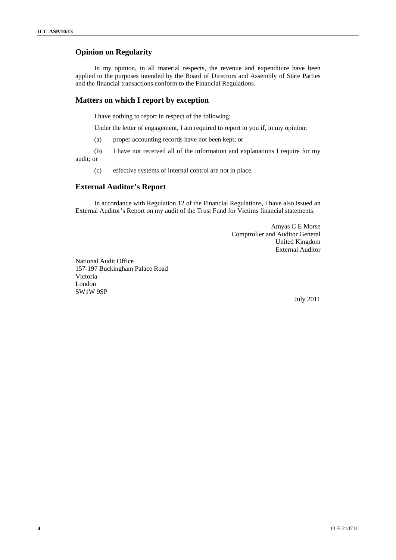### **Opinion on Regularity**

In my opinion, in all material respects, the revenue and expenditure have been applied to the purposes intended by the Board of Directors and Assembly of State Parties and the financial transactions conform to the Financial Regulations.

### **Matters on which I report by exception**

I have nothing to report in respect of the following:

Under the letter of engagement, I am required to report to you if, in my opinion:

(a) proper accounting records have not been kept; or

(b) I have not received all of the information and explanations I require for my audit; or

(c) effective systems of internal control are not in place.

### **External Auditor's Report**

In accordance with Regulation 12 of the Financial Regulations, I have also issued an External Auditor's Report on my audit of the Trust Fund for Victims financial statements.

> Amyas C E Morse Comptroller and Auditor General United Kingdom External Auditor

National Audit Office 157-197 Buckingham Palace Road Victoria London SW1W 9SP

July 2011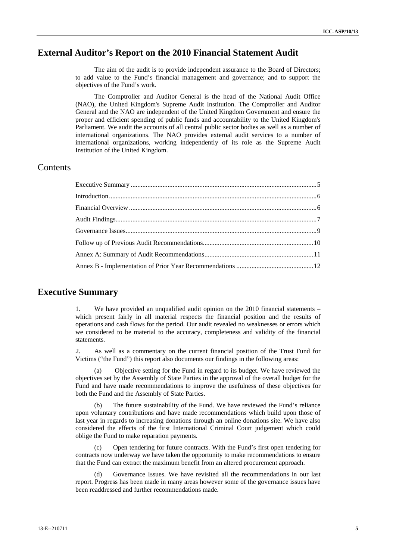# **External Auditor's Report on the 2010 Financial Statement Audit**

The aim of the audit is to provide independent assurance to the Board of Directors; to add value to the Fund's financial management and governance; and to support the objectives of the Fund's work.

The Comptroller and Auditor General is the head of the National Audit Office (NAO), the United Kingdom's Supreme Audit Institution. The Comptroller and Auditor General and the NAO are independent of the United Kingdom Government and ensure the proper and efficient spending of public funds and accountability to the United Kingdom's Parliament. We audit the accounts of all central public sector bodies as well as a number of international organizations. The NAO provides external audit services to a number of international organizations, working independently of its role as the Supreme Audit Institution of the United Kingdom.

## **Contents**

### **Executive Summary**

We have provided an unqualified audit opinion on the 2010 financial statements – which present fairly in all material respects the financial position and the results of operations and cash flows for the period. Our audit revealed no weaknesses or errors which we considered to be material to the accuracy, completeness and validity of the financial statements.

2. As well as a commentary on the current financial position of the Trust Fund for Victims ("the Fund") this report also documents our findings in the following areas:

Objective setting for the Fund in regard to its budget. We have reviewed the objectives set by the Assembly of State Parties in the approval of the overall budget for the Fund and have made recommendations to improve the usefulness of these objectives for both the Fund and the Assembly of State Parties.

(b) The future sustainability of the Fund. We have reviewed the Fund's reliance upon voluntary contributions and have made recommendations which build upon those of last year in regards to increasing donations through an online donations site. We have also considered the effects of the first International Criminal Court judgement which could oblige the Fund to make reparation payments.

Open tendering for future contracts. With the Fund's first open tendering for contracts now underway we have taken the opportunity to make recommendations to ensure that the Fund can extract the maximum benefit from an altered procurement approach.

Governance Issues. We have revisited all the recommendations in our last report. Progress has been made in many areas however some of the governance issues have been readdressed and further recommendations made.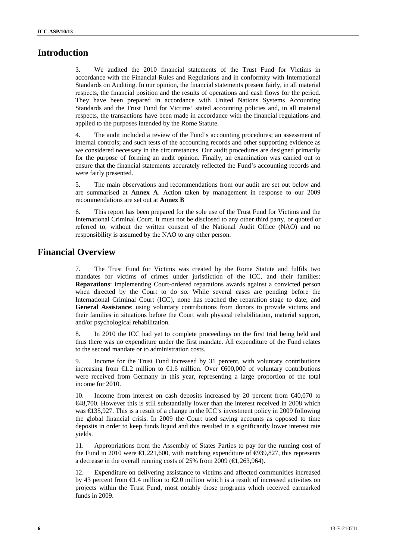# **Introduction**

3. We audited the 2010 financial statements of the Trust Fund for Victims in accordance with the Financial Rules and Regulations and in conformity with International Standards on Auditing. In our opinion, the financial statements present fairly, in all material respects, the financial position and the results of operations and cash flows for the period. They have been prepared in accordance with United Nations Systems Accounting Standards and the Trust Fund for Victims' stated accounting policies and, in all material respects, the transactions have been made in accordance with the financial regulations and applied to the purposes intended by the Rome Statute.

4. The audit included a review of the Fund's accounting procedures; an assessment of internal controls; and such tests of the accounting records and other supporting evidence as we considered necessary in the circumstances. Our audit procedures are designed primarily for the purpose of forming an audit opinion. Finally, an examination was carried out to ensure that the financial statements accurately reflected the Fund's accounting records and were fairly presented.

5. The main observations and recommendations from our audit are set out below and are summarised at **Annex A**. Action taken by management in response to our 2009 recommendations are set out at **Annex B**

6. This report has been prepared for the sole use of the Trust Fund for Victims and the International Criminal Court. It must not be disclosed to any other third party, or quoted or referred to, without the written consent of the National Audit Office (NAO) and no responsibility is assumed by the NAO to any other person.

# **Financial Overview**

7. The Trust Fund for Victims was created by the Rome Statute and fulfils two mandates for victims of crimes under jurisdiction of the ICC, and their families: **Reparations**: implementing Court-ordered reparations awards against a convicted person when directed by the Court to do so. While several cases are pending before the International Criminal Court (ICC), none has reached the reparation stage to date; and **General Assistance**: using voluntary contributions from donors to provide victims and their families in situations before the Court with physical rehabilitation, material support, and/or psychological rehabilitation.

8. In 2010 the ICC had yet to complete proceedings on the first trial being held and thus there was no expenditure under the first mandate. All expenditure of the Fund relates to the second mandate or to administration costs.

9. Income for the Trust Fund increased by 31 percent, with voluntary contributions increasing from  $\epsilon 1.2$  million to  $\epsilon 1.6$  million. Over  $\epsilon 600,000$  of voluntary contributions were received from Germany in this year, representing a large proportion of the total income for 2010.

10. Income from interest on cash deposits increased by 20 percent from €40,070 to €48,700. However this is still substantially lower than the interest received in 2008 which was €135,927. This is a result of a change in the ICC's investment policy in 2009 following the global financial crisis. In 2009 the Court used saving accounts as opposed to time deposits in order to keep funds liquid and this resulted in a significantly lower interest rate yields.

11. Appropriations from the Assembly of States Parties to pay for the running cost of the Fund in 2010 were  $\in$  (221,600, with matching expenditure of  $\in$  39,827, this represents a decrease in the overall running costs of 25% from 2009 ( $\in$ 1,263,964).

Expenditure on delivering assistance to victims and affected communities increased by 43 percent from  $\bigoplus$ .4 million to  $\bigoplus$ .0 million which is a result of increased activities on projects within the Trust Fund, most notably those programs which received earmarked funds in 2009.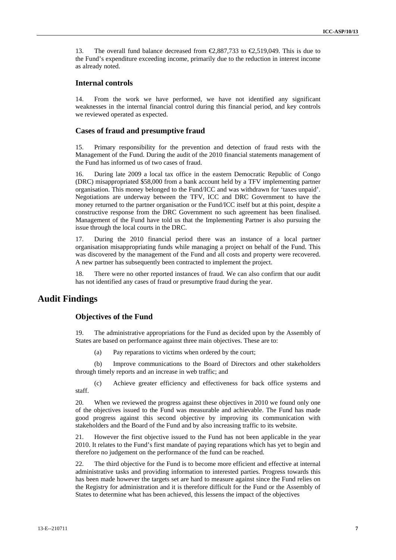13. The overall fund balance decreased from  $\epsilon$ 2,887,733 to  $\epsilon$ 2,519,049. This is due to the Fund's expenditure exceeding income, primarily due to the reduction in interest income as already noted.

### **Internal controls**

14. From the work we have performed, we have not identified any significant weaknesses in the internal financial control during this financial period, and key controls we reviewed operated as expected.

#### **Cases of fraud and presumptive fraud**

15. Primary responsibility for the prevention and detection of fraud rests with the Management of the Fund. During the audit of the 2010 financial statements management of the Fund has informed us of two cases of fraud.

16. During late 2009 a local tax office in the eastern Democratic Republic of Congo (DRC) misappropriated \$58,000 from a bank account held by a TFV implementing partner organisation. This money belonged to the Fund/ICC and was withdrawn for 'taxes unpaid'. Negotiations are underway between the TFV, ICC and DRC Government to have the money returned to the partner organisation or the Fund/ICC itself but at this point, despite a constructive response from the DRC Government no such agreement has been finalised. Management of the Fund have told us that the Implementing Partner is also pursuing the issue through the local courts in the DRC.

17. During the 2010 financial period there was an instance of a local partner organisation misappropriating funds while managing a project on behalf of the Fund. This was discovered by the management of the Fund and all costs and property were recovered. A new partner has subsequently been contracted to implement the project.

18. There were no other reported instances of fraud. We can also confirm that our audit has not identified any cases of fraud or presumptive fraud during the year.

# **Audit Findings**

### **Objectives of the Fund**

19. The administrative appropriations for the Fund as decided upon by the Assembly of States are based on performance against three main objectives. These are to:

(a) Pay reparations to victims when ordered by the court;

(b) Improve communications to the Board of Directors and other stakeholders through timely reports and an increase in web traffic; and

(c) Achieve greater efficiency and effectiveness for back office systems and staff.

20. When we reviewed the progress against these objectives in 2010 we found only one of the objectives issued to the Fund was measurable and achievable. The Fund has made good progress against this second objective by improving its communication with stakeholders and the Board of the Fund and by also increasing traffic to its website.

21. However the first objective issued to the Fund has not been applicable in the year 2010. It relates to the Fund's first mandate of paying reparations which has yet to begin and therefore no judgement on the performance of the fund can be reached.

22. The third objective for the Fund is to become more efficient and effective at internal administrative tasks and providing information to interested parties. Progress towards this has been made however the targets set are hard to measure against since the Fund relies on the Registry for administration and it is therefore difficult for the Fund or the Assembly of States to determine what has been achieved, this lessens the impact of the objectives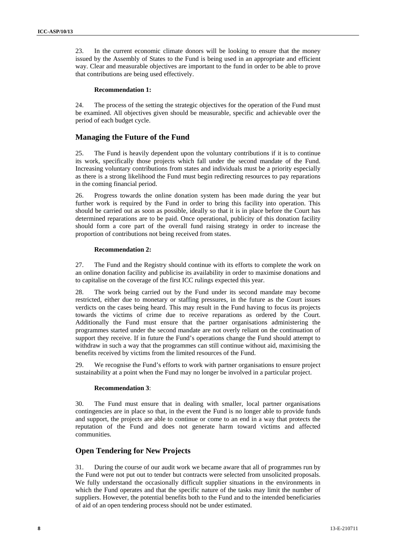23. In the current economic climate donors will be looking to ensure that the money issued by the Assembly of States to the Fund is being used in an appropriate and efficient way. Clear and measurable objectives are important to the fund in order to be able to prove that contributions are being used effectively.

#### **Recommendation 1:**

24. The process of the setting the strategic objectives for the operation of the Fund must be examined. All objectives given should be measurable, specific and achievable over the period of each budget cycle.

### **Managing the Future of the Fund**

25. The Fund is heavily dependent upon the voluntary contributions if it is to continue its work, specifically those projects which fall under the second mandate of the Fund. Increasing voluntary contributions from states and individuals must be a priority especially as there is a strong likelihood the Fund must begin redirecting resources to pay reparations in the coming financial period.

26. Progress towards the online donation system has been made during the year but further work is required by the Fund in order to bring this facility into operation. This should be carried out as soon as possible, ideally so that it is in place before the Court has determined reparations are to be paid. Once operational, publicity of this donation facility should form a core part of the overall fund raising strategy in order to increase the proportion of contributions not being received from states.

#### **Recommendation 2:**

27. The Fund and the Registry should continue with its efforts to complete the work on an online donation facility and publicise its availability in order to maximise donations and to capitalise on the coverage of the first ICC rulings expected this year.

28. The work being carried out by the Fund under its second mandate may become restricted, either due to monetary or staffing pressures, in the future as the Court issues verdicts on the cases being heard. This may result in the Fund having to focus its projects towards the victims of crime due to receive reparations as ordered by the Court. Additionally the Fund must ensure that the partner organisations administering the programmes started under the second mandate are not overly reliant on the continuation of support they receive. If in future the Fund's operations change the Fund should attempt to withdraw in such a way that the programmes can still continue without aid, maximising the benefits received by victims from the limited resources of the Fund.

29. We recognise the Fund's efforts to work with partner organisations to ensure project sustainability at a point when the Fund may no longer be involved in a particular project.

#### **Recommendation 3**:

30. The Fund must ensure that in dealing with smaller, local partner organisations contingencies are in place so that, in the event the Fund is no longer able to provide funds and support, the projects are able to continue or come to an end in a way that protects the reputation of the Fund and does not generate harm toward victims and affected communities.

### **Open Tendering for New Projects**

31. During the course of our audit work we became aware that all of programmes run by the Fund were not put out to tender but contracts were selected from unsolicited proposals. We fully understand the occasionally difficult supplier situations in the environments in which the Fund operates and that the specific nature of the tasks may limit the number of suppliers. However, the potential benefits both to the Fund and to the intended beneficiaries of aid of an open tendering process should not be under estimated.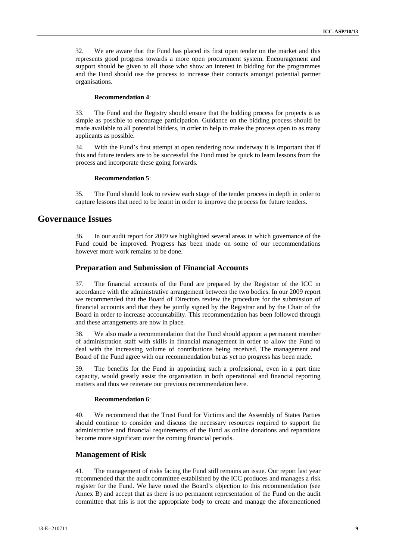32. We are aware that the Fund has placed its first open tender on the market and this represents good progress towards a more open procurement system. Encouragement and support should be given to all those who show an interest in bidding for the programmes and the Fund should use the process to increase their contacts amongst potential partner organisations.

#### **Recommendation 4**:

33. The Fund and the Registry should ensure that the bidding process for projects is as simple as possible to encourage participation. Guidance on the bidding process should be made available to all potential bidders, in order to help to make the process open to as many applicants as possible.

34. With the Fund's first attempt at open tendering now underway it is important that if this and future tenders are to be successful the Fund must be quick to learn lessons from the process and incorporate these going forwards.

#### **Recommendation 5**:

35. The Fund should look to review each stage of the tender process in depth in order to capture lessons that need to be learnt in order to improve the process for future tenders.

## **Governance Issues**

36. In our audit report for 2009 we highlighted several areas in which governance of the Fund could be improved. Progress has been made on some of our recommendations however more work remains to be done.

### **Preparation and Submission of Financial Accounts**

37. The financial accounts of the Fund are prepared by the Registrar of the ICC in accordance with the administrative arrangement between the two bodies. In our 2009 report we recommended that the Board of Directors review the procedure for the submission of financial accounts and that they be jointly signed by the Registrar and by the Chair of the Board in order to increase accountability. This recommendation has been followed through and these arrangements are now in place.

38. We also made a recommendation that the Fund should appoint a permanent member of administration staff with skills in financial management in order to allow the Fund to deal with the increasing volume of contributions being received. The management and Board of the Fund agree with our recommendation but as yet no progress has been made.

39. The benefits for the Fund in appointing such a professional, even in a part time capacity, would greatly assist the organisation in both operational and financial reporting matters and thus we reiterate our previous recommendation here.

#### **Recommendation 6**:

40. We recommend that the Trust Fund for Victims and the Assembly of States Parties should continue to consider and discuss the necessary resources required to support the administrative and financial requirements of the Fund as online donations and reparations become more significant over the coming financial periods.

### **Management of Risk**

41. The management of risks facing the Fund still remains an issue. Our report last year recommended that the audit committee established by the ICC produces and manages a risk register for the Fund. We have noted the Board's objection to this recommendation (see Annex B) and accept that as there is no permanent representation of the Fund on the audit committee that this is not the appropriate body to create and manage the aforementioned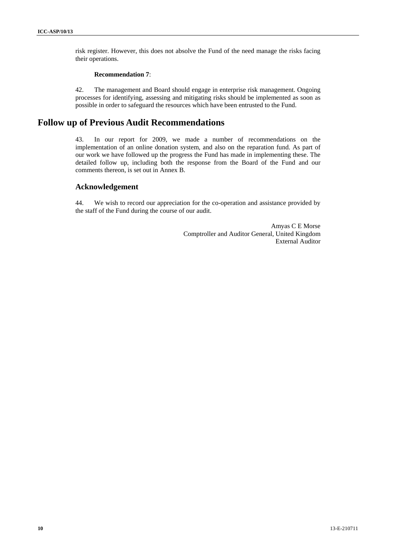risk register. However, this does not absolve the Fund of the need manage the risks facing their operations.

#### **Recommendation 7**:

42. The management and Board should engage in enterprise risk management. Ongoing processes for identifying, assessing and mitigating risks should be implemented as soon as possible in order to safeguard the resources which have been entrusted to the Fund.

# **Follow up of Previous Audit Recommendations**

43. In our report for 2009, we made a number of recommendations on the implementation of an online donation system, and also on the reparation fund. As part of our work we have followed up the progress the Fund has made in implementing these. The detailed follow up, including both the response from the Board of the Fund and our comments thereon, is set out in Annex B.

## **Acknowledgement**

44. We wish to record our appreciation for the co-operation and assistance provided by the staff of the Fund during the course of our audit.

> Amyas C E Morse Comptroller and Auditor General, United Kingdom External Auditor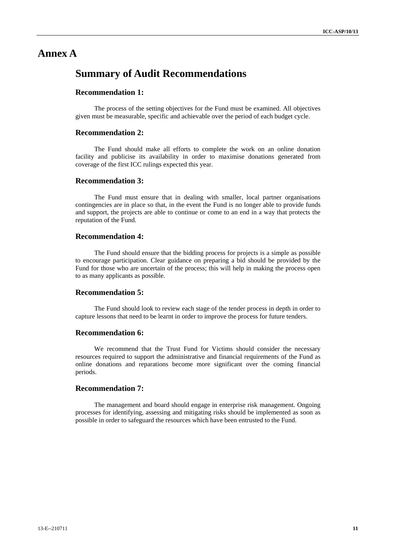# **Annex A**

# **Summary of Audit Recommendations**

# **Recommendation 1:**

The process of the setting objectives for the Fund must be examined. All objectives given must be measurable, specific and achievable over the period of each budget cycle.

### **Recommendation 2:**

The Fund should make all efforts to complete the work on an online donation facility and publicise its availability in order to maximise donations generated from coverage of the first ICC rulings expected this year.

### **Recommendation 3:**

The Fund must ensure that in dealing with smaller, local partner organisations contingencies are in place so that, in the event the Fund is no longer able to provide funds and support, the projects are able to continue or come to an end in a way that protects the reputation of the Fund.

### **Recommendation 4:**

The Fund should ensure that the bidding process for projects is a simple as possible to encourage participation. Clear guidance on preparing a bid should be provided by the Fund for those who are uncertain of the process; this will help in making the process open to as many applicants as possible.

#### **Recommendation 5:**

The Fund should look to review each stage of the tender process in depth in order to capture lessons that need to be learnt in order to improve the process for future tenders.

### **Recommendation 6:**

We recommend that the Trust Fund for Victims should consider the necessary resources required to support the administrative and financial requirements of the Fund as online donations and reparations become more significant over the coming financial periods.

### **Recommendation 7:**

The management and board should engage in enterprise risk management. Ongoing processes for identifying, assessing and mitigating risks should be implemented as soon as possible in order to safeguard the resources which have been entrusted to the Fund.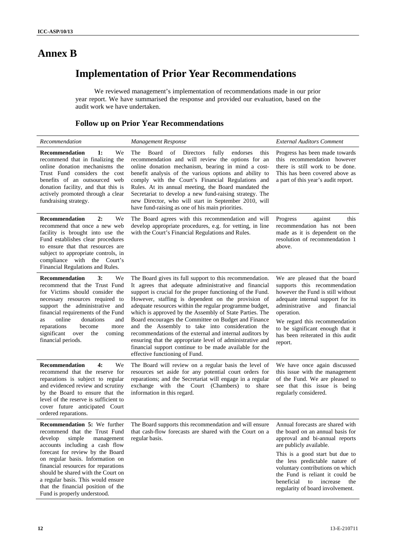# **Annex B**

# **Implementation of Prior Year Recommendations**

We reviewed management's implementation of recommendations made in our prior year report. We have summarised the response and provided our evaluation, based on the audit work we have undertaken.

# **Follow up on Prior Year Recommendations**

| Recommendation                                                                                                                                                                                                                                                                                                                                                                                             | Management Response                                                                                                                                                                                                                                                                                                                                                                                                                                                                                                                                                                                                                                                                         | <b>External Auditors Comment</b>                                                                                                                                                                                                                                                                                                                      |
|------------------------------------------------------------------------------------------------------------------------------------------------------------------------------------------------------------------------------------------------------------------------------------------------------------------------------------------------------------------------------------------------------------|---------------------------------------------------------------------------------------------------------------------------------------------------------------------------------------------------------------------------------------------------------------------------------------------------------------------------------------------------------------------------------------------------------------------------------------------------------------------------------------------------------------------------------------------------------------------------------------------------------------------------------------------------------------------------------------------|-------------------------------------------------------------------------------------------------------------------------------------------------------------------------------------------------------------------------------------------------------------------------------------------------------------------------------------------------------|
| Recommendation<br>1:<br>We<br>recommend that in finalizing the<br>online donation mechanisms the<br>Trust Fund considers the cost<br>benefits of an outsourced web<br>donation facility, and that this is<br>actively promoted through a clear<br>fundraising strategy.                                                                                                                                    | Board<br>of Directors<br>fully<br>The<br>endorses<br>this<br>recommendation and will review the options for an<br>online donation mechanism, bearing in mind a cost-<br>benefit analysis of the various options and ability to<br>comply with the Court's Financial Regulations and<br>Rules. At its annual meeting, the Board mandated the<br>Secretariat to develop a new fund-raising strategy. The<br>new Director, who will start in September 2010, will<br>have fund-raising as one of his main priorities.                                                                                                                                                                          | Progress has been made towards<br>this recommendation however<br>there is still work to be done.<br>This has been covered above as<br>a part of this year's audit report.                                                                                                                                                                             |
| 2:<br><b>Recommendation</b><br>We<br>recommend that once a new web<br>facility is brought into use the<br>Fund establishes clear procedures<br>to ensure that that resources are<br>subject to appropriate controls, in<br>compliance with the Court's<br>Financial Regulations and Rules.                                                                                                                 | The Board agrees with this recommendation and will<br>develop appropriate procedures, e.g. for vetting, in line<br>with the Court's Financial Regulations and Rules.                                                                                                                                                                                                                                                                                                                                                                                                                                                                                                                        | this<br>Progress<br>against<br>recommendation has not been<br>made as it is dependent on the<br>resolution of recommendation 1<br>above.                                                                                                                                                                                                              |
| Recommendation<br>3:<br>We<br>recommend that the Trust Fund<br>for Victims should consider the<br>necessary resources required to<br>support the administrative and<br>financial requirements of the Fund<br>online<br>donations<br>and<br>as<br>reparations<br>become<br>more<br>significant<br>over<br>the<br>coming<br>financial periods.                                                               | The Board gives its full support to this recommendation.<br>It agrees that adequate administrative and financial<br>support is crucial for the proper functioning of the Fund.<br>However, staffing is dependent on the provision of<br>adequate resources within the regular programme budget,<br>which is approved by the Assembly of State Parties. The<br>Board encourages the Committee on Budget and Finance<br>and the Assembly to take into consideration the<br>recommendations of the external and internal auditors by<br>ensuring that the appropriate level of administrative and<br>financial support continue to be made available for the<br>effective functioning of Fund. | We are pleased that the board<br>supports this recommendation<br>however the Fund is still without<br>adequate internal support for its<br>administrative<br>and financial<br>operation.<br>We regard this recommendation<br>to be significant enough that it<br>has been reiterated in this audit<br>report.                                         |
| 4:<br><b>Recommendation</b><br>We<br>recommend that the reserve for<br>reparations is subject to regular<br>and evidenced review and scrutiny<br>by the Board to ensure that the<br>level of the reserve is sufficient to<br>cover future anticipated Court<br>ordered reparations.                                                                                                                        | The Board will review on a regular basis the level of<br>resources set aside for any potential court orders for<br>reparations; and the Secretariat will engage in a regular<br>exchange with the Court (Chambers) to share<br>information in this regard.                                                                                                                                                                                                                                                                                                                                                                                                                                  | We have once again discussed<br>this issue with the management<br>of the Fund. We are pleased to<br>see that this issue is being<br>regularly considered.                                                                                                                                                                                             |
| <b>Recommendation 5:</b> We further<br>recommend that the Trust Fund<br>develop<br>simple<br>management<br>accounts including a cash flow<br>forecast for review by the Board<br>on regular basis. Information on<br>financial resources for reparations<br>should be shared with the Court on<br>a regular basis. This would ensure<br>that the financial position of the<br>Fund is properly understood. | The Board supports this recommendation and will ensure<br>that cash-flow forecasts are shared with the Court on a<br>regular basis.                                                                                                                                                                                                                                                                                                                                                                                                                                                                                                                                                         | Annual forecasts are shared with<br>the board on an annual basis for<br>approval and bi-annual reports<br>are publicly available.<br>This is a good start but due to<br>the less predictable nature of<br>voluntary contributions on which<br>the Fund is reliant it could be<br>beneficial<br>to increase<br>the<br>regularity of board involvement. |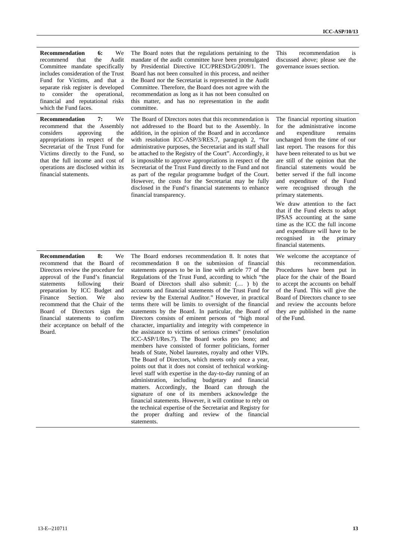| Recommendation<br>6:<br>We<br>recommend<br>that<br>the<br>Audit<br>Committee mandate specifically<br>includes consideration of the Trust<br>Fund for Victims, and that a<br>separate risk register is developed<br>consider the<br>operational,<br>to<br>financial and reputational risks<br>which the Fund faces.                                                                                       | The Board notes that the regulations pertaining to the<br>mandate of the audit committee have been promulgated<br>by Presidential Directive ICC/PRESD/G/2009/1. The<br>Board has not been consulted in this process, and neither<br>the Board nor the Secretariat is represented in the Audit<br>Committee. Therefore, the Board does not agree with the<br>recommendation as long as it has not been consulted on<br>this matter, and has no representation in the audit<br>committee.                                                                                                                                                                                                                                                                                                                                                                                                                                                 | This<br>is<br>recommendation<br>discussed above; please see the<br>governance issues section.                                                                                                                                                                                                                                                                                                                                                                                                                                                                                                                                                      |
|----------------------------------------------------------------------------------------------------------------------------------------------------------------------------------------------------------------------------------------------------------------------------------------------------------------------------------------------------------------------------------------------------------|-----------------------------------------------------------------------------------------------------------------------------------------------------------------------------------------------------------------------------------------------------------------------------------------------------------------------------------------------------------------------------------------------------------------------------------------------------------------------------------------------------------------------------------------------------------------------------------------------------------------------------------------------------------------------------------------------------------------------------------------------------------------------------------------------------------------------------------------------------------------------------------------------------------------------------------------|----------------------------------------------------------------------------------------------------------------------------------------------------------------------------------------------------------------------------------------------------------------------------------------------------------------------------------------------------------------------------------------------------------------------------------------------------------------------------------------------------------------------------------------------------------------------------------------------------------------------------------------------------|
| 7:<br><b>Recommendation</b><br>We<br>recommend that the Assembly<br>considers<br>approving<br>the<br>appropriations in respect of the<br>Secretariat of the Trust Fund for<br>Victims directly to the Fund, so<br>that the full income and cost of<br>operations are disclosed within its<br>financial statements.                                                                                       | The Board of Directors notes that this recommendation is<br>not addressed to the Board but to the Assembly. In<br>addition, in the opinion of the Board and in accordance<br>with resolution ICC-ASP/3/RES.7, paragraph 2, "for<br>administrative purposes, the Secretariat and its staff shall<br>be attached to the Registry of the Court". Accordingly, it<br>is impossible to approve appropriations in respect of the<br>Secretariat of the Trust Fund directly to the Fund and not<br>as part of the regular programme budget of the Court.<br>However, the costs for the Secretariat may be fully<br>disclosed in the Fund's financial statements to enhance<br>financial transparency.                                                                                                                                                                                                                                          | The financial reporting situation<br>for the administrative income<br>and<br>expenditure<br>remains<br>unchanged from the time of our<br>last report. The reasons for this<br>have been reiterated to us but we<br>are still of the opinion that the<br>financial statements would be<br>better served if the full income<br>and expenditure of the Fund<br>were recognised through the<br>primary statements.<br>We draw attention to the fact<br>that if the Fund elects to adopt<br>IPSAS accounting at the same<br>time as the ICC the full income<br>and expenditure will have to be<br>recognised in the<br>primary<br>financial statements. |
| 8:<br>We<br><b>Recommendation</b><br>recommend that the Board of<br>Directors review the procedure for<br>approval of the Fund's financial<br>statements<br>following<br>their<br>preparation by ICC Budget and<br>Finance<br>Section.<br>We<br>also<br>recommend that the Chair of the<br>Board of Directors sign the<br>financial statements to confirm<br>their acceptance on behalf of the<br>Board. | The Board endorses recommendation 8. It notes that<br>recommendation 8 on the submission of financial<br>statements appears to be in line with article 77 of the<br>Regulations of the Trust Fund, according to which "the<br>Board of Directors shall also submit: ( ) b) the<br>accounts and financial statements of the Trust Fund for<br>review by the External Auditor." However, in practical<br>terms there will be limits to oversight of the financial<br>statements by the Board. In particular, the Board of<br>Directors consists of eminent persons of "high moral<br>character, impartiality and integrity with competence in<br>the assistance to victims of serious crimes" (resolution<br>ICC-ASP/1/Res.7). The Board works pro bono; and<br>members have consisted of former politicians, former<br>heads of State, Nobel laureates, royalty and other VIPs.<br>The Board of Directors, which meets only once a year, | We welcome the acceptance of<br>recommendation.<br>this<br>Procedures have been put in<br>place for the chair of the Board<br>to accept the accounts on behalf<br>of the Fund. This will give the<br>Board of Directors chance to see<br>and review the accounts before<br>they are published in the name<br>of the Fund.                                                                                                                                                                                                                                                                                                                          |

points out that it does not consist of technical workinglevel staff with expertise in the day-to-day running of an administration, including budgetary and financial matters. Accordingly, the Board can through the signature of one of its members acknowledge the financial statements. However, it will continue to rely on the technical expertise of the Secretariat and Registry for the proper drafting and review of the financial

statements.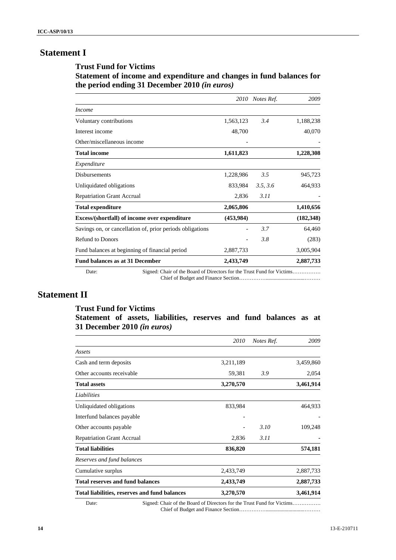# **Statement I**

### **Trust Fund for Victims**

# **Statement of income and expenditure and changes in fund balances for the period ending 31 December 2010** *(in euros)*

|                                                           |                                                                        |            | 2010 Notes Ref. | 2009       |
|-----------------------------------------------------------|------------------------------------------------------------------------|------------|-----------------|------------|
| <b>Income</b>                                             |                                                                        |            |                 |            |
| Voluntary contributions                                   |                                                                        | 1,563,123  | 3.4             | 1,188,238  |
| Interest income                                           |                                                                        | 48,700     |                 | 40,070     |
| Other/miscellaneous income                                |                                                                        |            |                 |            |
| <b>Total income</b>                                       |                                                                        | 1,611,823  |                 | 1,228,308  |
| Expenditure                                               |                                                                        |            |                 |            |
| <b>Disbursements</b>                                      |                                                                        | 1,228,986  | 3.5             | 945,723    |
| Unliquidated obligations                                  |                                                                        | 833,984    | 3.5, 3.6        | 464,933    |
| <b>Repatriation Grant Accrual</b>                         |                                                                        | 2,836      | 3.11            |            |
| <b>Total expenditure</b>                                  |                                                                        | 2,065,806  |                 | 1,410,656  |
| Excess/(shortfall) of income over expenditure             |                                                                        | (453, 984) |                 | (182, 348) |
| Savings on, or cancellation of, prior periods obligations |                                                                        |            | 3.7             | 64,460     |
| <b>Refund to Donors</b>                                   |                                                                        |            | 3.8             | (283)      |
| Fund balances at beginning of financial period            |                                                                        | 2,887,733  |                 | 3,005,904  |
| <b>Fund balances as at 31 December</b>                    |                                                                        | 2,433,749  |                 | 2,887,733  |
| Date:                                                     | Signed: Chair of the Board of Directors for the Trust Fund for Victims |            |                 |            |

Chief of Budget and Finance Section…………….............................………

# **Statement II**

## **Trust Fund for Victims**

# **Statement of assets, liabilities, reserves and fund balances as at 31 December 2010** *(in euros)*

| 2010      | Notes Ref. | 2009      |
|-----------|------------|-----------|
|           |            |           |
| 3,211,189 |            | 3,459,860 |
| 59,381    | 3.9        | 2,054     |
| 3,270,570 |            | 3,461,914 |
|           |            |           |
| 833,984   |            | 464,933   |
|           |            |           |
|           | 3.10       | 109,248   |
| 2,836     | 3.11       |           |
| 836,820   |            | 574,181   |
|           |            |           |
| 2,433,749 |            | 2,887,733 |
| 2,433,749 |            | 2,887,733 |
| 3,270,570 |            | 3,461,914 |
|           |            |           |

Date: Signed: Chair of the Board of Directors for the Trust Fund for Victims……………. Chief of Budget and Finance Section…………….............................………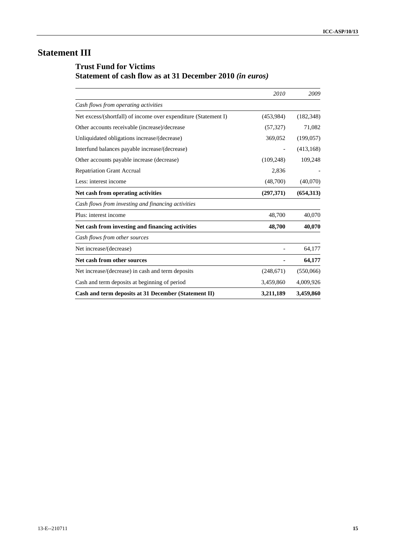# **Statement III**

# **Trust Fund for Victims Statement of cash flow as at 31 December 2010** *(in euros)*

|                                                                 | 2010       | 2009       |
|-----------------------------------------------------------------|------------|------------|
| Cash flows from operating activities                            |            |            |
| Net excess/(shortfall) of income over expenditure (Statement I) | (453,984)  | (182, 348) |
| Other accounts receivable (increase)/decrease                   | (57, 327)  | 71,082     |
| Unliquidated obligations increase/(decrease)                    | 369,052    | (199, 057) |
| Interfund balances payable increase/(decrease)                  |            | (413, 168) |
| Other accounts payable increase (decrease)                      | (109, 248) | 109,248    |
| <b>Repatriation Grant Accrual</b>                               | 2,836      |            |
| Less: interest income                                           | (48,700)   | (40,070)   |
| Net cash from operating activities                              | (297,371)  | (654,313)  |
| Cash flows from investing and financing activities              |            |            |
| Plus: interest income                                           | 48,700     | 40,070     |
| Net cash from investing and financing activities                | 48,700     | 40,070     |
| Cash flows from other sources                                   |            |            |
| Net increase/(decrease)                                         |            | 64,177     |
| Net cash from other sources                                     |            | 64,177     |
| Net increase/(decrease) in cash and term deposits               | (248,671)  | (550,066)  |
| Cash and term deposits at beginning of period                   | 3,459,860  | 4,009,926  |
| Cash and term deposits at 31 December (Statement II)            | 3,211,189  | 3,459,860  |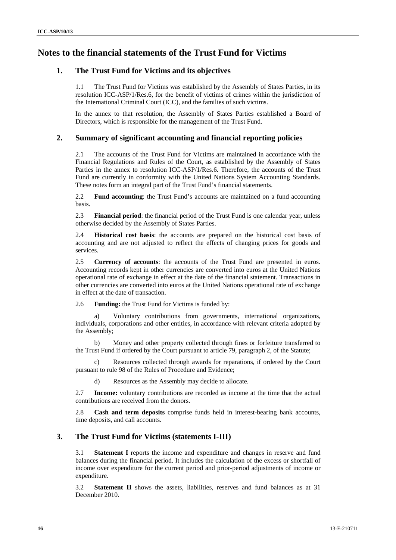# **Notes to the financial statements of the Trust Fund for Victims**

# **1. The Trust Fund for Victims and its objectives**

1.1 The Trust Fund for Victims was established by the Assembly of States Parties, in its resolution ICC-ASP/1/Res.6, for the benefit of victims of crimes within the jurisdiction of the International Criminal Court (ICC), and the families of such victims.

In the annex to that resolution, the Assembly of States Parties established a Board of Directors, which is responsible for the management of the Trust Fund.

## **2. Summary of significant accounting and financial reporting policies**

2.1 The accounts of the Trust Fund for Victims are maintained in accordance with the Financial Regulations and Rules of the Court, as established by the Assembly of States Parties in the annex to resolution ICC-ASP/1/Res.6. Therefore, the accounts of the Trust Fund are currently in conformity with the United Nations System Accounting Standards. These notes form an integral part of the Trust Fund's financial statements.

2.2 **Fund accounting**: the Trust Fund's accounts are maintained on a fund accounting basis.

2.3 **Financial period**: the financial period of the Trust Fund is one calendar year, unless otherwise decided by the Assembly of States Parties.

2.4 **Historical cost basis**: the accounts are prepared on the historical cost basis of accounting and are not adjusted to reflect the effects of changing prices for goods and services.

2.5 **Currency of accounts**: the accounts of the Trust Fund are presented in euros. Accounting records kept in other currencies are converted into euros at the United Nations operational rate of exchange in effect at the date of the financial statement. Transactions in other currencies are converted into euros at the United Nations operational rate of exchange in effect at the date of transaction.

2.6 **Funding:** the Trust Fund for Victims is funded by:

a) Voluntary contributions from governments, international organizations, individuals, corporations and other entities, in accordance with relevant criteria adopted by the Assembly;

b) Money and other property collected through fines or forfeiture transferred to the Trust Fund if ordered by the Court pursuant to article 79, paragraph 2, of the Statute;

c) Resources collected through awards for reparations, if ordered by the Court pursuant to rule 98 of the Rules of Procedure and Evidence;

d) Resources as the Assembly may decide to allocate.

2.7 **Income:** voluntary contributions are recorded as income at the time that the actual contributions are received from the donors.

2.8 **Cash and term deposits** comprise funds held in interest-bearing bank accounts, time deposits, and call accounts.

# **3. The Trust Fund for Victims (statements I-III)**

3.1 **Statement I** reports the income and expenditure and changes in reserve and fund balances during the financial period. It includes the calculation of the excess or shortfall of income over expenditure for the current period and prior-period adjustments of income or expenditure.

3.2 **Statement II** shows the assets, liabilities, reserves and fund balances as at 31 December 2010.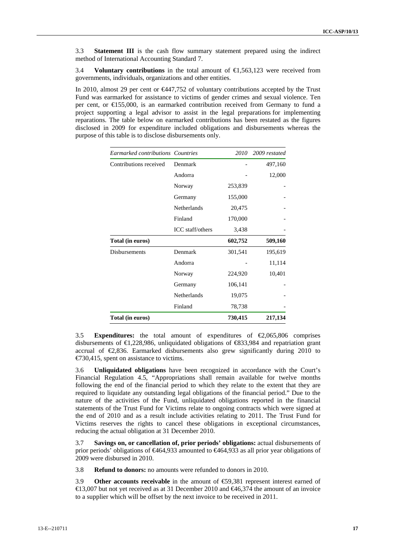3.3 **Statement III** is the cash flow summary statement prepared using the indirect method of International Accounting Standard 7.

3.4 **Voluntary contributions** in the total amount of €1,563,123 were received from governments, individuals, organizations and other entities.

In 2010, almost 29 per cent or €447,752 of voluntary contributions accepted by the Trust Fund was earmarked for assistance to victims of gender crimes and sexual violence. Ten per cent, or €155,000, is an earmarked contribution received from Germany to fund a project supporting a legal advisor to assist in the legal preparations for implementing reparations. The table below on earmarked contributions has been restated as the figures disclosed in 2009 for expenditure included obligations and disbursements whereas the purpose of this table is to disclose disbursements only.

| Earmarked contributions Countries |                    | 2010    | 2009 restated |
|-----------------------------------|--------------------|---------|---------------|
| Contributions received            | Denmark            |         | 497,160       |
|                                   | Andorra            |         | 12,000        |
|                                   | Norway             | 253,839 |               |
|                                   | Germany            | 155,000 |               |
|                                   | <b>Netherlands</b> | 20,475  |               |
|                                   | Finland            | 170,000 |               |
|                                   | ICC staff/others   | 3,438   |               |
| Total (in euros)                  |                    | 602,752 | 509,160       |
| <b>Disbursements</b>              | Denmark            | 301,541 | 195,619       |
|                                   | Andorra            |         | 11,114        |
|                                   | Norway             | 224,920 | 10,401        |
|                                   | Germany            | 106,141 |               |
|                                   | Netherlands        | 19,075  |               |
|                                   | Finland            | 78,738  |               |
| Total (in euros)                  |                    | 730,415 | 217,134       |

3.5 **Expenditures:** the total amount of expenditures of €2,065,806 comprises disbursements of  $\bigoplus$ ,228,986, unliquidated obligations of  $\bigoplus$ 33,984 and repatriation grant accrual of  $\epsilon$ 2,836. Earmarked disbursements also grew significantly during 2010 to €730,415, spent on assistance to victims.

3.6 **Unliquidated obligations** have been recognized in accordance with the Court's Financial Regulation 4.5, "Appropriations shall remain available for twelve months following the end of the financial period to which they relate to the extent that they are required to liquidate any outstanding legal obligations of the financial period." Due to the nature of the activities of the Fund, unliquidated obligations reported in the financial statements of the Trust Fund for Victims relate to ongoing contracts which were signed at the end of 2010 and as a result include activities relating to 2011. The Trust Fund for Victims reserves the rights to cancel these obligations in exceptional circumstances, reducing the actual obligation at 31 December 2010.

3.7 **Savings on, or cancellation of, prior periods' obligations:** actual disbursements of prior periods' obligations of €464,933 amounted to €464,933 as all prior year obligations of 2009 were disbursed in 2010.

3.8 **Refund to donors:** no amounts were refunded to donors in 2010.

3.9 **Other accounts receivable** in the amount of €59,381 represent interest earned of €13,007 but not yet received as at 31 December 2010 and €46,374 the amount of an invoice to a supplier which will be offset by the next invoice to be received in 2011.